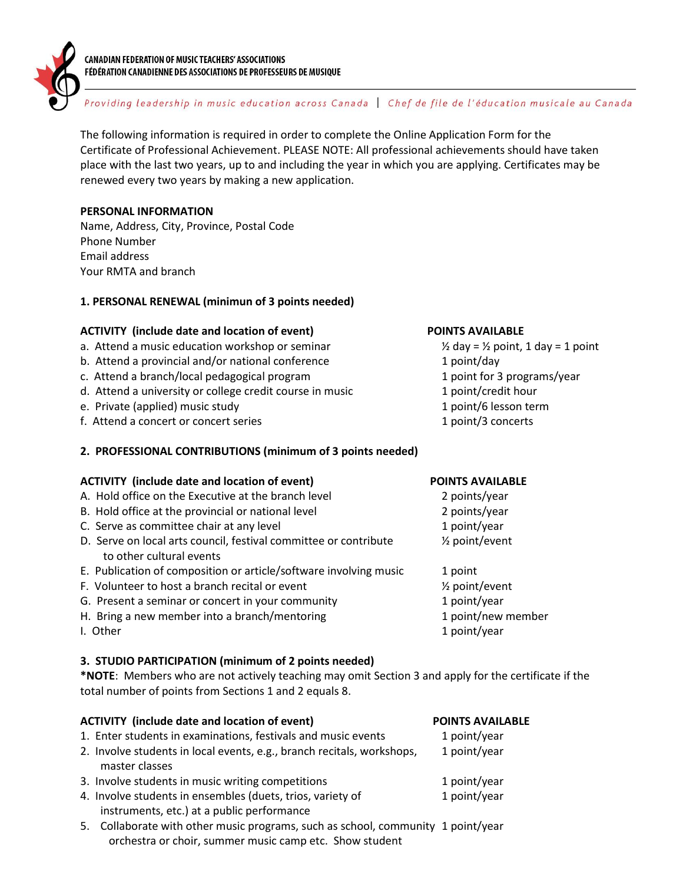

#### CANADIAN FEDERATION OF MUSIC TEACHERS' ASSOCIATIONS FÉDÉRATION CANADIENNE DES ASSOCIATIONS DE PROFESSEURS DE MUSIQUE

# Providing leadership in music education across Canada | Chef de file de l'éducation musicale au Canada

The following information is required in order to complete the Online Application Form for the Certificate of Professional Achievement. PLEASE NOTE: All professional achievements should have taken place with the last two years, up to and including the year in which you are applying. Certificates may be renewed every two years by making a new application.

### **PERSONAL INFORMATION**

Name, Address, City, Province, Postal Code Phone Number Email address Your RMTA and branch

## **1. PERSONAL RENEWAL (minimun of 3 points needed)**

#### **ACTIVITY (include date and location of event) POINTS AVAILABLE**

- a. Attend a music education workshop or seminar  $\frac{1}{2}$  day = 1/2 point, 1 day = 1 point
- b. Attend a provincial and/or national conference 1 point/day
- c. Attend a branch/local pedagogical program 1 point for 3 programs/year
- d. Attend a university or college credit course in music 1 point/credit hour
- e. Private (applied) music study 1 point/6 lesson term
- f. Attend a concert or concert series 1 point/3 concerts

#### **2. PROFESSIONAL CONTRIBUTIONS (minimum of 3 points needed)**

#### **ACTIVITY (include date and location of event) POINTS AVAILABLE**

- A. Hold office on the Executive at the branch level **2** points/year
- B. Hold office at the provincial or national level example the country of 2 points/year
- C. Serve as committee chair at any level 1 point/year 1 point/year
- D. Serve on local arts council, festival committee or contribute  $\frac{1}{2}$  point/event to other cultural events
- E. Publication of composition or article/software involving music 1 point
- F. Volunteer to host a branch recital or event  $\frac{y_2}{x_1}$  point/event
- G. Present a seminar or concert in your community example 1 point/year
- H. Bring a new member into a branch/mentoring 1 point/new member
- 

#### **3. STUDIO PARTICIPATION (minimum of 2 points needed)**

**\*NOTE**: Members who are not actively teaching may omit Section 3 and apply for the certificate if the total number of points from Sections 1 and 2 equals 8.

| <b>ACTIVITY</b> (include date and location of event) |                                                                                  | <b>POINTS AVAILABLE</b> |
|------------------------------------------------------|----------------------------------------------------------------------------------|-------------------------|
|                                                      | 1. Enter students in examinations, festivals and music events                    | 1 point/year            |
|                                                      | 2. Involve students in local events, e.g., branch recitals, workshops,           | 1 point/year            |
|                                                      | master classes                                                                   |                         |
|                                                      | 3. Involve students in music writing competitions                                | 1 point/year            |
|                                                      | 4. Involve students in ensembles (duets, trios, variety of                       | 1 point/year            |
|                                                      | instruments, etc.) at a public performance                                       |                         |
|                                                      | 5. Collaborate with other music programs, such as school, community 1 point/year |                         |
|                                                      | orchestra or choir, summer music camp etc. Show student                          |                         |

- 
- 
- 
- 
- 
- I. Other 1 point/year 1 point/year 1 point/year